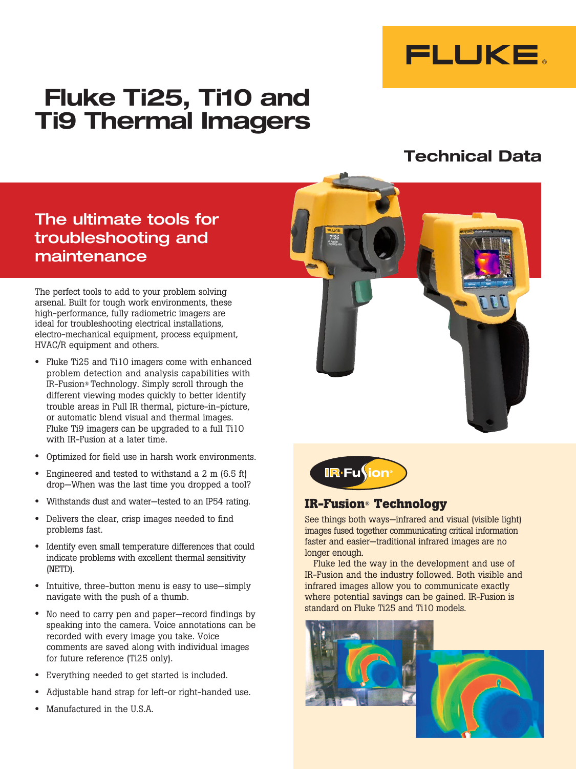

# **Fluke Ti25, Ti10 and Ti9 Thermal Imagers**

# **Technical Data**

# The ultimate tools for troubleshooting and maintenance

The perfect tools to add to your problem solving arsenal. Built for tough work environments, these high-performance, fully radiometric imagers are ideal for troubleshooting electrical installations, electro-mechanical equipment, process equipment, HVAC/R equipment and others.

- Fluke Ti25 and Ti10 imagers come with enhanced problem detection and analysis capabilities with IR-Fusion® Technology. Simply scroll through the different viewing modes quickly to better identify trouble areas in Full IR thermal, picture-in-picture, or automatic blend visual and thermal images. Fluke Ti9 imagers can be upgraded to a full Ti10 with IR-Fusion at a later time.
- Optimized for field use in harsh work environments.
- Engineered and tested to withstand a 2 m (6.5 ft) drop—When was the last time you dropped a tool?
- Withstands dust and water—tested to an IP54 rating.
- Delivers the clear, crisp images needed to find problems fast.
- Identify even small temperature differences that could indicate problems with excellent thermal sensitivity (NETD).
- Intuitive, three-button menu is easy to use—simply navigate with the push of a thumb.
- No need to carry pen and paper—record findings by speaking into the camera. Voice annotations can be recorded with every image you take. Voice comments are saved along with individual images for future reference (Ti25 only).
- Everything needed to get started is included.
- Adjustable hand strap for left-or right-handed use.
- Manufactured in the U.S.A.



### **IR-Fusion® Technology**

See things both ways—infrared and visual (visible light) images fused together communicating critical information faster and easier—traditional infrared images are no longer enough.

Fluke led the way in the development and use of IR-Fusion and the industry followed. Both visible and infrared images allow you to communicate exactly where potential savings can be gained. IR-Fusion is standard on Fluke Ti25 and Ti10 models.

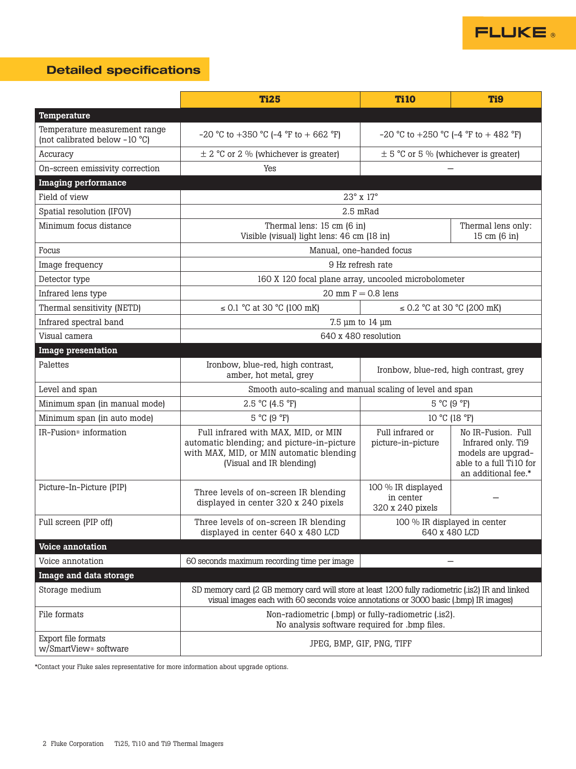

# **Detailed specifications**

|                                                                | <b>Ti25</b>                                                                                                                                                                              | <b>Ti10</b>                                              | T <sub>i9</sub>                                                                                                  |  |
|----------------------------------------------------------------|------------------------------------------------------------------------------------------------------------------------------------------------------------------------------------------|----------------------------------------------------------|------------------------------------------------------------------------------------------------------------------|--|
| Temperature                                                    |                                                                                                                                                                                          |                                                          |                                                                                                                  |  |
| Temperature measurement range<br>(not calibrated below -10 °C) | -20 °C to +350 °C (-4 °F to + 662 °F)                                                                                                                                                    | -20 °C to +250 °C (-4 °F to + 482 °F)                    |                                                                                                                  |  |
| Accuracy                                                       | $\pm$ 2 °C or 2 % (whichever is greater)                                                                                                                                                 | $\pm$ 5 °C or 5 % (whichever is greater)                 |                                                                                                                  |  |
| On-screen emissivity correction                                | Yes                                                                                                                                                                                      |                                                          |                                                                                                                  |  |
| <b>Imaging performance</b>                                     |                                                                                                                                                                                          |                                                          |                                                                                                                  |  |
| Field of view                                                  | 23° x 17°                                                                                                                                                                                |                                                          |                                                                                                                  |  |
| Spatial resolution (IFOV)                                      |                                                                                                                                                                                          | 2.5 mRad                                                 |                                                                                                                  |  |
| Minimum focus distance                                         | Thermal lens: 15 cm (6 in)<br>Visible (visual) light lens: 46 cm (18 in)                                                                                                                 | Thermal lens only:<br>15 cm (6 in)                       |                                                                                                                  |  |
| Focus                                                          |                                                                                                                                                                                          | Manual, one-handed focus                                 |                                                                                                                  |  |
| Image frequency                                                | 9 Hz refresh rate                                                                                                                                                                        |                                                          |                                                                                                                  |  |
| Detector type                                                  |                                                                                                                                                                                          | 160 X 120 focal plane array, uncooled microbolometer     |                                                                                                                  |  |
| Infrared lens type                                             |                                                                                                                                                                                          | $20$ mm $F = 0.8$ lens                                   |                                                                                                                  |  |
| Thermal sensitivity (NETD)                                     | $\leq$ 0.1 °C at 30 °C (100 mK)                                                                                                                                                          |                                                          | $\leq$ 0.2 °C at 30 °C (200 mK)                                                                                  |  |
| Infrared spectral band                                         |                                                                                                                                                                                          | 7.5 µm to 14 µm                                          |                                                                                                                  |  |
| Visual camera                                                  | 640 x 480 resolution                                                                                                                                                                     |                                                          |                                                                                                                  |  |
| <b>Image presentation</b>                                      |                                                                                                                                                                                          |                                                          |                                                                                                                  |  |
| Palettes                                                       | Ironbow, blue-red, high contrast,<br>amber, hot metal, grey                                                                                                                              |                                                          | Ironbow, blue-red, high contrast, grey                                                                           |  |
| Level and span                                                 |                                                                                                                                                                                          | Smooth auto-scaling and manual scaling of level and span |                                                                                                                  |  |
| Minimum span (in manual mode)                                  | $2.5 °C$ (4.5 °F)                                                                                                                                                                        | 5 °C (9 °F)                                              |                                                                                                                  |  |
| Minimum span (in auto mode)                                    | $5^{\circ}$ C (9 $^{\circ}$ F)                                                                                                                                                           | 10 °C (18 °F)                                            |                                                                                                                  |  |
| IR-Fusion <sup>®</sup> information                             | Full infrared with MAX, MID, or MIN<br>automatic blending; and picture-in-picture<br>with MAX, MID, or MIN automatic blending<br>(Visual and IR blending)                                | Full infrared or<br>picture-in-picture                   | No IR-Fusion. Full<br>Infrared only. Ti9<br>models are upgrad-<br>able to a full Ti10 for<br>an additional fee.* |  |
| Picture-In-Picture (PIP)                                       | Three levels of on-screen IR blending<br>displayed in center 320 x 240 pixels                                                                                                            | 100 % IR displayed<br>in center<br>320 x 240 pixels      |                                                                                                                  |  |
| Full screen (PIP off)                                          | Three levels of on-screen IR blending<br>displayed in center 640 x 480 LCD                                                                                                               | 100 % IR displayed in center<br>640 x 480 LCD            |                                                                                                                  |  |
| Voice annotation                                               |                                                                                                                                                                                          |                                                          |                                                                                                                  |  |
| Voice annotation                                               | 60 seconds maximum recording time per image                                                                                                                                              |                                                          | —                                                                                                                |  |
| Image and data storage                                         |                                                                                                                                                                                          |                                                          |                                                                                                                  |  |
| Storage medium                                                 | SD memory card (2 GB memory card will store at least 1200 fully radiometric (.is2) IR and linked<br>visual images each with 60 seconds voice annotations or 3000 basic (.bmp) IR images) |                                                          |                                                                                                                  |  |
| File formats                                                   | Non-radiometric (.bmp) or fully-radiometric (.is2).<br>No analysis software required for .bmp files.                                                                                     |                                                          |                                                                                                                  |  |
| Export file formats<br>w/SmartView <sup>®</sup> software       | JPEG, BMP, GIF, PNG, TIFF                                                                                                                                                                |                                                          |                                                                                                                  |  |

\*Contact your Fluke sales representative for more information about upgrade options.